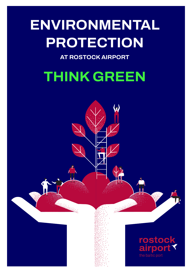# **ENVIRONMENTAL PROTECTION**

**AT ROSTOCK AIRPORT** 

# **THINK GREEN**

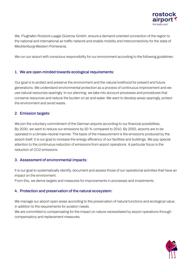

**We, Flughafen Rostock-Laage-Güstrow GmbH, ensure a demand-oriented connection of the region to the national and international air traffic network and enable mobility and interconnectivity for the state of Mecklenburg-Western Pomerania.** 

**We run our airport with conscious responsibility for our environment according to the following guidelines:**

## **1. We are open-minded towards ecological requirements:**

**Our goal is to protect and preserve the environment and the natural livelihood for present and future generations. We understand environmental protection as a process of continuous improvement and we use natural resources sparingly. In our planning, we take into account processes and procedures that conserve resources and reduce the burden on air and water. We want to develop areas sparingly, protect the environment and avoid waste.** 

#### **2. Emission targets:**

**We join the voluntary commitment of the German airports according to our financial possibilities. By 2030, we want to reduce our emissions by 50 % compared to 2010. By 2050, airports are to be operated in a climate-neutral manner. The basis of the measurement is the emissions produced by the airport itself. It is our goal to increase the energy efficiency of our facilities and buildings. We pay special attention to the continuous reduction of emissions from airport operations. A particular focus is the reduction of CO2 emissions.**

#### **3. Assessment of environmental impacts:**

**It is our goal to systematically identify, document and assess those of our operational activities that have an impact on the environment.** 

**From this, we derive targets and measures for improvements in processes and investments.**

# **4. Protection and preservation of the natural ecosystem:**

**We manage our airport open areas according to the preservation of natural functions and ecological value, in addition to the requirements for aviation needs.** 

**We are committed to compensating for the impact on nature necessitated by airport operations through compensatory and replacement measures.**